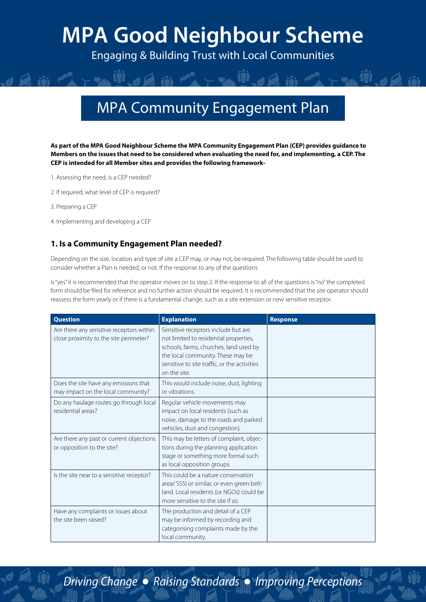Engaging & Building Trust with Local Communities

### MPA Community Engagement Plan

**As part of the MPA Good Neighbour Scheme the MPA Community Engagement Plan (CEP) provides guidance to Members on the issues that need to be considered when evaluating the need for, and implementing, a CEP. The CEP is intended for all Member sites and provides the following framework-**

- 1. Assessing the need, is a CEP needed?
- 2. If required, what level of CEP is required?
- 3. Preparing a CEP
- 4. Implementing and developing a CEP

#### **1. Is a Community Engagement Plan needed?**

Depending on the size, location and type of site a CEP may, or may not, be required. The following table should be used to consider whether a Plan is needed, or not. If the response to any of the questions

is "yes" it is recommended that the operator moves on to step 2. If the response to all of the questions is "no" the completed form should be filed for reference and no further action should be required. It is recommended that the site operator should reassess the form yearly or if there is a fundamental change, such as a site extension or new sensitive receptor.

| <b>Question</b>                                                                    | <b>Explanation</b>                                                                                                                                                                                                           | <b>Response</b> |
|------------------------------------------------------------------------------------|------------------------------------------------------------------------------------------------------------------------------------------------------------------------------------------------------------------------------|-----------------|
| Are there any sensitive receptors within<br>close proximity to the site perimeter? | Sensitive receptors include but are<br>not limited to residential properties,<br>schools, farms, churches, land used by<br>the local community. These may be<br>sensitive to site traffic, or the activities<br>on the site. |                 |
| Does the site have any emissions that<br>may impact on the local community?        | This would include noise, dust, lighting<br>or vibrations                                                                                                                                                                    |                 |
| Do any haulage routes go through local<br>residential areas?                       | Regular vehicle movements may<br>impact on local residents (such as<br>noise, damage to the roads and parked<br>vehicles, dust and congestion).                                                                              |                 |
| Are there any past or current objections<br>or opposition to the site?             | This may be letters of complaint, objec-<br>tions during the planning application<br>stage or something more formal such<br>as local opposition groups.                                                                      |                 |
| Is the site near to a sensitive receptor?                                          | This could be a nature conservation<br>area/ SSSI or similar, or even green belt-<br>land. Local residents (or NGOs) could be<br>more sensitive to the site if so.                                                           |                 |
| Have any complaints or issues about<br>the site been raised?                       | The production and detail of a CEP<br>may be informed by recording and<br>categorising complaints made by the<br>local community.                                                                                            |                 |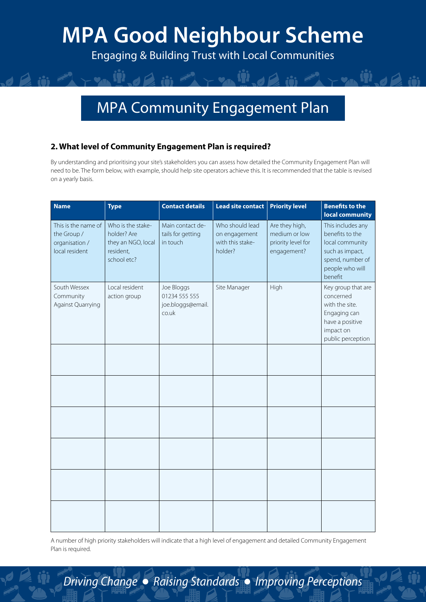Engaging & Building Trust with Local Communities

### MPA Community Engagement Plan

#### **2. What level of Community Engagement Plan is required?**

By understanding and prioritising your site's stakeholders you can assess how detailed the Community Engagement Plan will need to be. The form below, with example, should help site operators achieve this. It is recommended that the table is revised on a yearly basis.

| <b>Name</b>                                                            | <b>Type</b>                                                                        | <b>Contact details</b>                                    | <b>Lead site contact</b>                                        | <b>Priority level</b>                                                | <b>Benefits to the</b><br>local community                                                                                    |
|------------------------------------------------------------------------|------------------------------------------------------------------------------------|-----------------------------------------------------------|-----------------------------------------------------------------|----------------------------------------------------------------------|------------------------------------------------------------------------------------------------------------------------------|
| This is the name of<br>the Group /<br>organisation /<br>local resident | Who is the stake-<br>holder? Are<br>they an NGO, local<br>resident,<br>school etc? | Main contact de-<br>tails for getting<br>in touch         | Who should lead<br>on engagement<br>with this stake-<br>holder? | Are they high,<br>medium or low<br>priority level for<br>engagement? | This includes any<br>benefits to the<br>local community<br>such as impact,<br>spend, number of<br>people who will<br>benefit |
| South Wessex<br>Community<br>Against Quarrying                         | Local resident<br>action group                                                     | Joe Bloggs<br>01234 555 555<br>joe.bloggs@email.<br>co.uk | Site Manager                                                    | High                                                                 | Key group that are<br>concerned<br>with the site.<br>Engaging can<br>have a positive<br>impact on<br>public perception       |
|                                                                        |                                                                                    |                                                           |                                                                 |                                                                      |                                                                                                                              |
|                                                                        |                                                                                    |                                                           |                                                                 |                                                                      |                                                                                                                              |
|                                                                        |                                                                                    |                                                           |                                                                 |                                                                      |                                                                                                                              |
|                                                                        |                                                                                    |                                                           |                                                                 |                                                                      |                                                                                                                              |
|                                                                        |                                                                                    |                                                           |                                                                 |                                                                      |                                                                                                                              |
|                                                                        |                                                                                    |                                                           |                                                                 |                                                                      |                                                                                                                              |

A number of high priority stakeholders will indicate that a high level of engagement and detailed Community Engagement Plan is required.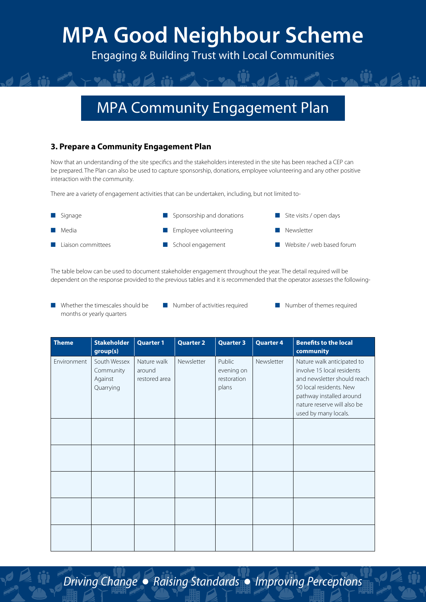Engaging & Building Trust with Local Communities

### MPA Community Engagement Plan

#### **3. Prepare a Community Engagement Plan**

Now that an understanding of the site specifics and the stakeholders interested in the site has been reached a CEP can be prepared. The Plan can also be used to capture sponsorship, donations, employee volunteering and any other positive interaction with the community.

There are a variety of engagement activities that can be undertaken, including, but not limited to-

| $\blacksquare$ Signage       | $\blacksquare$ Sponsorship and donations | $\blacksquare$ Site visits / open days |
|------------------------------|------------------------------------------|----------------------------------------|
| <b>■</b> Media               | $\blacksquare$ Employee volunteering     | Newsletter                             |
| <b>El</b> Liaison committees | School engagement                        | ■ Website / web based forum            |

The table below can be used to document stakeholder engagement throughout the year. The detail required will be dependent on the response provided to the previous tables and it is recommended that the operator assesses the following-

- Whether the timescales should be months or yearly quarters
- Number of activities required Number of themes required
	-

| <b>Theme</b> | <b>Stakeholder</b><br>group(s)                    | <b>Quarter 1</b>                       | <b>Quarter 2</b> | <b>Quarter 3</b>                             | <b>Quarter 4</b> | <b>Benefits to the local</b><br>community                                                                                                                                                             |
|--------------|---------------------------------------------------|----------------------------------------|------------------|----------------------------------------------|------------------|-------------------------------------------------------------------------------------------------------------------------------------------------------------------------------------------------------|
| Environment  | South Wessex<br>Community<br>Against<br>Quarrying | Nature walk<br>around<br>restored area | Newsletter       | Public<br>evening on<br>restoration<br>plans | Newsletter       | Nature walk anticipated to<br>involve 15 local residents<br>and newsletter should reach<br>50 local residents. New<br>pathway installed around<br>nature reserve will also be<br>used by many locals. |
|              |                                                   |                                        |                  |                                              |                  |                                                                                                                                                                                                       |
|              |                                                   |                                        |                  |                                              |                  |                                                                                                                                                                                                       |
|              |                                                   |                                        |                  |                                              |                  |                                                                                                                                                                                                       |
|              |                                                   |                                        |                  |                                              |                  |                                                                                                                                                                                                       |
|              |                                                   |                                        |                  |                                              |                  |                                                                                                                                                                                                       |